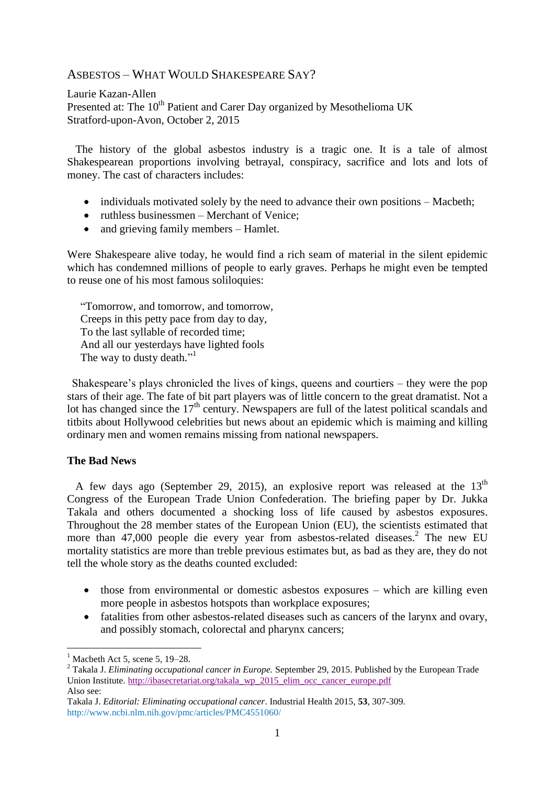# ASBESTOS – WHAT WOULD SHAKESPEARE SAY?

Laurie Kazan-Allen Presented at: The 10<sup>th</sup> Patient and Carer Day organized by Mesothelioma UK Stratford-upon-Avon, October 2, 2015

 The history of the global asbestos industry is a tragic one. It is a tale of almost Shakespearean proportions involving betrayal, conspiracy, sacrifice and lots and lots of money. The cast of characters includes:

- individuals motivated solely by the need to advance their own positions Macbeth;
- ruthless businessmen Merchant of Venice:
- and grieving family members Hamlet.

Were Shakespeare alive today, he would find a rich seam of material in the silent epidemic which has condemned millions of people to early graves. Perhaps he might even be tempted to reuse one of his most famous soliloquies:

"Tomorrow, and tomorrow, and tomorrow, Creeps in this petty pace from day to day, To the last syllable of recorded time; And all our yesterdays have lighted fools The way to dusty death."<sup>1</sup>

Shakespeare's plays chronicled the lives of kings, queens and courtiers – they were the pop stars of their age. The fate of bit part players was of little concern to the great dramatist. Not a lot has changed since the  $17<sup>th</sup>$  century. Newspapers are full of the latest political scandals and titbits about Hollywood celebrities but news about an epidemic which is maiming and killing ordinary men and women remains missing from national newspapers.

# **The Bad News**

A few days ago (September 29, 2015), an explosive report was released at the  $13<sup>th</sup>$ Congress of the European Trade Union Confederation. The briefing paper by Dr. Jukka Takala and others documented a shocking loss of life caused by asbestos exposures. Throughout the 28 member states of the European Union (EU), the scientists estimated that more than 47,000 people die every year from asbestos-related diseases. 2 The new EU mortality statistics are more than treble previous estimates but, as bad as they are, they do not tell the whole story as the deaths counted excluded:

- those from environmental or domestic asbestos exposures which are killing even more people in asbestos hotspots than workplace exposures;
- fatalities from other asbestos-related diseases such as cancers of the larynx and ovary, and possibly stomach, colorectal and pharynx cancers;

1

[Macbeth Act 5, scene 5, 19–28.](http://www.enotes.com/macbeth-text/3369#tomorrow)

<sup>2</sup> Takala J. *Eliminating occupational cancer in Europe.* September 29, 2015. Published by the European Trade Union Institute. [http://ibasecretariat.org/takala\\_wp\\_2015\\_elim\\_occ\\_cancer\\_europe.pdf](http://ibasecretariat.org/takala_wp_2015_elim_occ_cancer_europe.pdf) Also see:

Takala J. *Editorial: Eliminating occupational cancer*. Industrial Health 2015, **53**, 307-309. <http://www.ncbi.nlm.nih.gov/pmc/articles/PMC4551060/>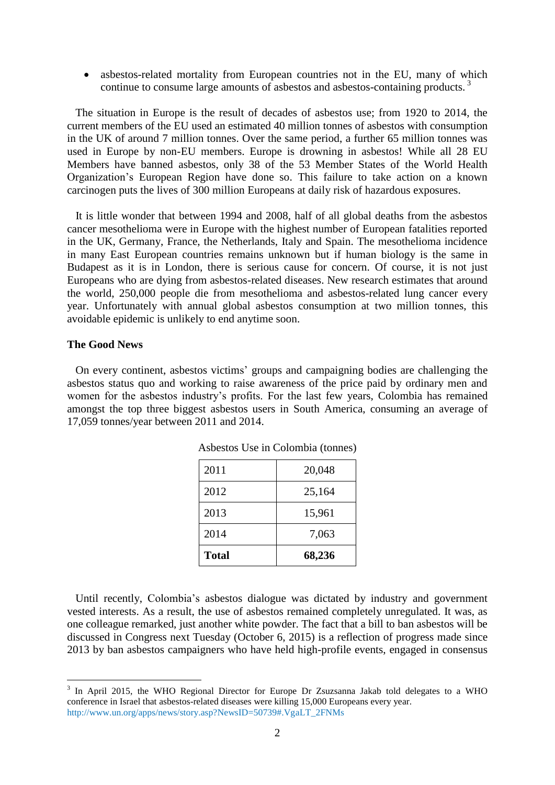• asbestos-related mortality from European countries not in the EU, many of which continue to consume large amounts of asbestos and asbestos-containing products.<sup>3</sup>

 The situation in Europe is the result of decades of asbestos use; from 1920 to 2014, the current members of the EU used an estimated 40 million tonnes of asbestos with consumption in the UK of around 7 million tonnes. Over the same period, a further 65 million tonnes was used in Europe by non-EU members. Europe is drowning in asbestos! While all 28 EU Members have banned asbestos, only 38 of the 53 Member States of the World Health Organization's European Region have done so. This failure to take action on a known carcinogen puts the lives of 300 million Europeans at daily risk of hazardous exposures.

 It is little wonder that between 1994 and 2008, half of all global deaths from the asbestos cancer mesothelioma were in Europe with the highest number of European fatalities reported in the UK, Germany, France, the Netherlands, Italy and Spain. The mesothelioma incidence in many East European countries remains unknown but if human biology is the same in Budapest as it is in London, there is serious cause for concern. Of course, it is not just Europeans who are dying from asbestos-related diseases. New research estimates that around the world, 250,000 people die from mesothelioma and asbestos-related lung cancer every year. Unfortunately with annual global asbestos consumption at two million tonnes, this avoidable epidemic is unlikely to end anytime soon.

### **The Good News**

<u>.</u>

 On every continent, asbestos victims' groups and campaigning bodies are challenging the asbestos status quo and working to raise awareness of the price paid by ordinary men and women for the asbestos industry's profits. For the last few years, Colombia has remained amongst the top three biggest asbestos users in South America, consuming an average of 17,059 tonnes/year between 2011 and 2014.

| 2011         | 20,048 |
|--------------|--------|
| 2012         | 25,164 |
| 2013         | 15,961 |
| 2014         | 7,063  |
| <b>Total</b> | 68,236 |

Asbestos Use in Colombia (tonnes)

 Until recently, Colombia's asbestos dialogue was dictated by industry and government vested interests. As a result, the use of asbestos remained completely unregulated. It was, as one colleague remarked, just another white powder. The fact that a bill to ban asbestos will be discussed in Congress next Tuesday (October 6, 2015) is a reflection of progress made since 2013 by ban asbestos campaigners who have held high-profile events, engaged in consensus

<sup>&</sup>lt;sup>3</sup> In April 2015, the WHO Regional Director for Europe Dr Zsuzsanna Jakab told delegates to a WHO conference in Israel that asbestos-related diseases were killing 15,000 Europeans every year. [http://www.un.org/apps/news/story.asp?NewsID=50739#.VgaLT\\_2FNMs](http://www.un.org/apps/news/story.asp?NewsID=50739%23.VgaLT_2FNMs)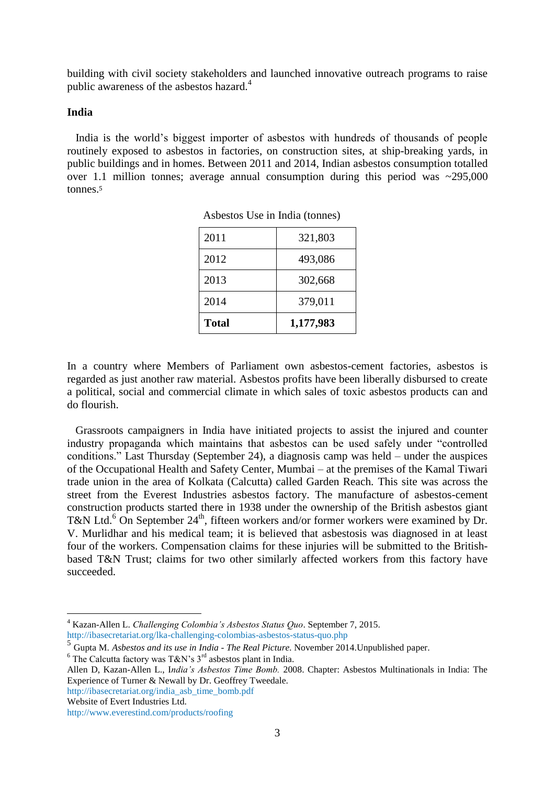building with civil society stakeholders and launched innovative outreach programs to raise public awareness of the asbestos hazard.<sup>4</sup>

#### **India**

 India is the world's biggest importer of asbestos with hundreds of thousands of people routinely exposed to asbestos in factories, on construction sites, at ship-breaking yards, in public buildings and in homes. Between 2011 and 2014, Indian asbestos consumption totalled over 1.1 million tonnes; average annual consumption during this period was ~295,000 tonnes.<sup>5</sup>

| <b>Total</b> | 1,177,983 |
|--------------|-----------|
| 2014         | 379,011   |
| 2013         | 302,668   |
| 2012         | 493,086   |
| 2011         | 321,803   |

| Asbestos Use in India (tonnes) |  |  |
|--------------------------------|--|--|
|                                |  |  |

In a country where Members of Parliament own asbestos-cement factories, asbestos is regarded as just another raw material. Asbestos profits have been liberally disbursed to create a political, social and commercial climate in which sales of toxic asbestos products can and do flourish.

 Grassroots campaigners in India have initiated projects to assist the injured and counter industry propaganda which maintains that asbestos can be used safely under "controlled conditions." Last Thursday (September 24), a diagnosis camp was held – under the auspices of the Occupational Health and Safety Center, Mumbai – at the premises of the Kamal Tiwari trade union in the area of Kolkata (Calcutta) called Garden Reach. This site was across the street from the Everest Industries asbestos factory. The manufacture of asbestos-cement construction products started there in 1938 under the ownership of the British asbestos giant T&N Ltd.<sup>6</sup> On September 24<sup>th</sup>, fifteen workers and/or former workers were examined by Dr. V. Murlidhar and his medical team; it is believed that asbestosis was diagnosed in at least four of the workers. Compensation claims for these injuries will be submitted to the Britishbased T&N Trust; claims for two other similarly affected workers from this factory have succeeded.

Website of Evert Industries Ltd.

<u>.</u>

<sup>4</sup> Kazan-Allen L. *Challenging Colombia's Asbestos Status Quo*. September 7, 2015. <http://ibasecretariat.org/lka-challenging-colombias-asbestos-status-quo.php>

<sup>5</sup> Gupta M. *Asbestos and its use in India - The Real Picture.* November 2014.Unpublished paper.

<sup>&</sup>lt;sup>6</sup> The Calcutta factory was T&N's  $3<sup>rd</sup>$  asbestos plant in India.

Allen D, Kazan-Allen L., I*ndia's Asbestos Time Bomb.* 2008. Chapter: Asbestos Multinationals in India: The Experience of Turner & Newall by Dr. Geoffrey Tweedale.

[http://ibasecretariat.org/india\\_asb\\_time\\_bomb.pdf](http://ibasecretariat.org/india_asb_time_bomb.pdf)

<http://www.everestind.com/products/roofing>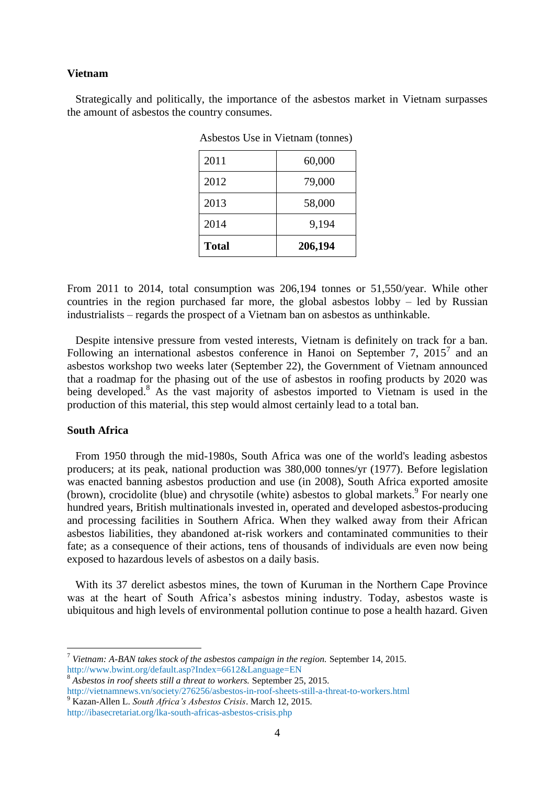#### **Vietnam**

 Strategically and politically, the importance of the asbestos market in Vietnam surpasses the amount of asbestos the country consumes.

| <b>Total</b> | 206,194 |
|--------------|---------|
| 2014         | 9,194   |
| 2013         | 58,000  |
| 2012         | 79,000  |
| 2011         | 60,000  |

Asbestos Use in Vietnam (tonnes)

From 2011 to 2014, total consumption was 206,194 tonnes or 51,550/year. While other countries in the region purchased far more, the global asbestos lobby – led by Russian industrialists – regards the prospect of a Vietnam ban on asbestos as unthinkable.

 Despite intensive pressure from vested interests, Vietnam is definitely on track for a ban. Following an international asbestos conference in Hanoi on September 7,  $2015<sup>7</sup>$  and an asbestos workshop two weeks later (September 22), the Government of Vietnam announced that a roadmap for the phasing out of the use of asbestos in roofing products by 2020 was being developed.<sup>8</sup> As the vast majority of asbestos imported to Vietnam is used in the production of this material, this step would almost certainly lead to a total ban.

#### **South Africa**

1

 From 1950 through the mid-1980s, South Africa was one of the world's leading asbestos producers; at its peak, national production was 380,000 tonnes/yr (1977). Before legislation was enacted banning asbestos production and use (in 2008), South Africa exported amosite (brown), crocidolite (blue) and chrysotile (white) asbestos to global markets.<sup>9</sup> For nearly one hundred years, British multinationals invested in, operated and developed asbestos-producing and processing facilities in Southern Africa. When they walked away from their African asbestos liabilities, they abandoned at-risk workers and contaminated communities to their fate; as a consequence of their actions, tens of thousands of individuals are even now being exposed to hazardous levels of asbestos on a daily basis.

 With its 37 derelict asbestos mines, the town of Kuruman in the Northern Cape Province was at the heart of South Africa's asbestos mining industry. Today, asbestos waste is ubiquitous and high levels of environmental pollution continue to pose a health hazard. Given

<sup>7</sup> *Vietnam: A-BAN takes stock of the asbestos campaign in the region.* September 14, 2015. <http://www.bwint.org/default.asp?Index=6612&Language=EN>

<sup>8</sup> *Asbestos in roof sheets still a threat to workers.* September 25, 2015.

<http://vietnamnews.vn/society/276256/asbestos-in-roof-sheets-still-a-threat-to-workers.html> <sup>9</sup> Kazan-Allen L. *South Africa's Asbestos Crisis*. March 12, 2015.

<http://ibasecretariat.org/lka-south-africas-asbestos-crisis.php>